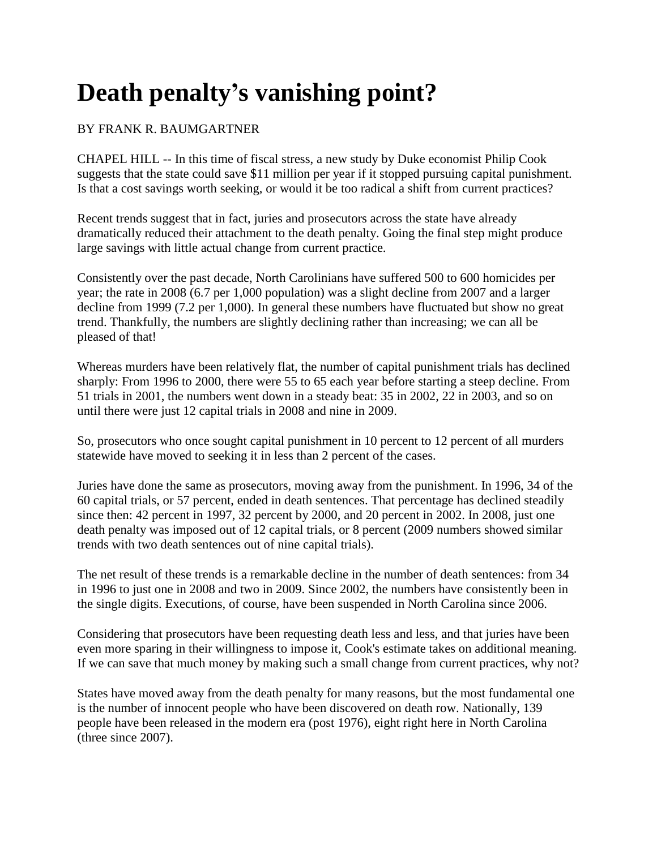## **Death penalty's vanishing point?**

## BY FRANK R. BAUMGARTNER

CHAPEL HILL -- In this time of fiscal stress, a new study by Duke economist Philip Cook suggests that the state could save \$11 million per year if it stopped pursuing capital punishment. Is that a cost savings worth seeking, or would it be too radical a shift from current practices?

Recent trends suggest that in fact, juries and prosecutors across the state have already dramatically reduced their attachment to the death penalty. Going the final step might produce large savings with little actual change from current practice.

Consistently over the past decade, North Carolinians have suffered 500 to 600 homicides per year; the rate in 2008 (6.7 per 1,000 population) was a slight decline from 2007 and a larger decline from 1999 (7.2 per 1,000). In general these numbers have fluctuated but show no great trend. Thankfully, the numbers are slightly declining rather than increasing; we can all be pleased of that!

Whereas murders have been relatively flat, the number of capital punishment trials has declined sharply: From 1996 to 2000, there were 55 to 65 each year before starting a steep decline. From 51 trials in 2001, the numbers went down in a steady beat: 35 in 2002, 22 in 2003, and so on until there were just 12 capital trials in 2008 and nine in 2009.

So, prosecutors who once sought capital punishment in 10 percent to 12 percent of all murders statewide have moved to seeking it in less than 2 percent of the cases.

Juries have done the same as prosecutors, moving away from the punishment. In 1996, 34 of the 60 capital trials, or 57 percent, ended in death sentences. That percentage has declined steadily since then: 42 percent in 1997, 32 percent by 2000, and 20 percent in 2002. In 2008, just one death penalty was imposed out of 12 capital trials, or 8 percent (2009 numbers showed similar trends with two death sentences out of nine capital trials).

The net result of these trends is a remarkable decline in the number of death sentences: from 34 in 1996 to just one in 2008 and two in 2009. Since 2002, the numbers have consistently been in the single digits. Executions, of course, have been suspended in North Carolina since 2006.

Considering that prosecutors have been requesting death less and less, and that juries have been even more sparing in their willingness to impose it, Cook's estimate takes on additional meaning. If we can save that much money by making such a small change from current practices, why not?

States have moved away from the death penalty for many reasons, but the most fundamental one is the number of innocent people who have been discovered on death row. Nationally, 139 people have been released in the modern era (post 1976), eight right here in North Carolina (three since 2007).